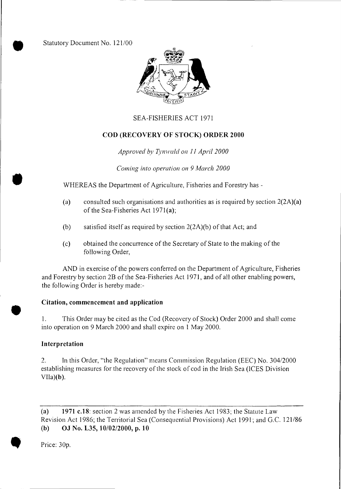Statutory Document No. 121/00



### SEA-FISHERIES ACT 1971

#### **COD (RECOVERY OF STOCK) ORDER 2000**

#### *Approved by Tynwald on 11 April 2000*

*Coming into operation on 9 March 2000* 

WHEREAS the Department of Agriculture, Fisheries and Forestry has -

- (a) consulted such organisations and authorities as is required by section 2(2A)(a) of the Sea-Fisheries Act 1971(a);
- (b) satisfied itself as required by section 2(2A)(b) of that Act; and
- (c) obtained the concurrence of the Secretary of State to the making of the following Order,

AND in exercise of the powers conferred on the Department of Agriculture, Fisheries and Forestry by section 2B of the Sea-Fisheries Act 1971, and of all other enabling powers, the following Order is hereby made:-

#### **Citation, commencement and application**

1. This Order may be cited as the Cod (Recovery of Stock) Order 2000 and shall come into operation on 9 March 2000 and shall expire on 1 May 2000.

#### **Interpretation**

•

 $\bullet$ 

2. In this Order, "the Regulation" means Commission Regulation (EEC) No. 304/2000 establishing measures for the recovery of the stock of cod in the Irish Sea (ICES Division  $VIIa)(b)$ .

**(a) 1971 c.18:** section 2 was amended by the Fisheries Act 1983; the Statute Law Revision Act 1986; the Territorial Sea (Consequential Provisions) Act 1991; and G.C. 121/86 **(b) OJ No. L35, 10/02/2000, p. 10** 

Price: 30p.